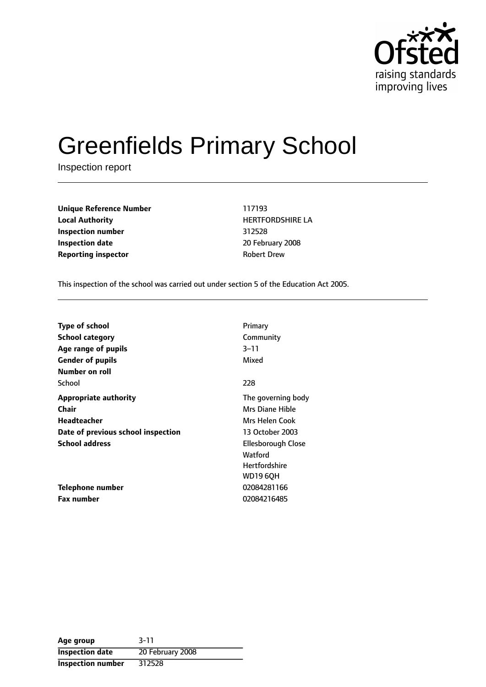

# Greenfields Primary School

Inspection report

**Unique Reference Number** 117193 **Local Authority HERTFORDSHIRE LA Inspection number** 312528 **Inspection date** 20 February 2008 **Reporting inspector CONFIDENTIAL ROBERT DREW** 

This inspection of the school was carried out under section 5 of the Education Act 2005.

| <b>Type of school</b>              | Primary              |
|------------------------------------|----------------------|
| <b>School category</b>             | Community            |
| Age range of pupils                | $3 - 11$             |
| <b>Gender of pupils</b>            | Mixed                |
| Number on roll                     |                      |
| School                             | 228                  |
| <b>Appropriate authority</b>       | The governing body   |
| Chair                              | Mrs Diane Hible      |
| Headteacher                        | Mrs Helen Cook       |
| Date of previous school inspection | 13 October 2003      |
| <b>School address</b>              | Ellesborough Close   |
|                                    | Watford              |
|                                    | <b>Hertfordshire</b> |
|                                    | WD19 60H             |
| Telephone number                   | 02084281166          |
| <b>Fax number</b>                  | 02084216485          |

**Age group** 3-11 **Inspection date** 20 February 2008 **Inspection number** 312528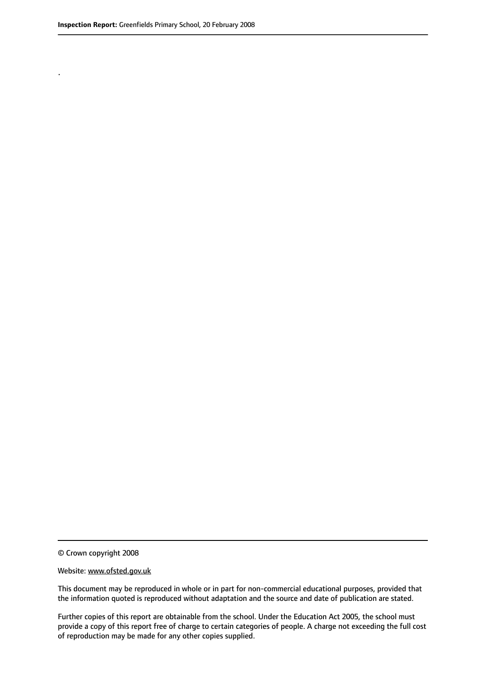.

© Crown copyright 2008

#### Website: www.ofsted.gov.uk

This document may be reproduced in whole or in part for non-commercial educational purposes, provided that the information quoted is reproduced without adaptation and the source and date of publication are stated.

Further copies of this report are obtainable from the school. Under the Education Act 2005, the school must provide a copy of this report free of charge to certain categories of people. A charge not exceeding the full cost of reproduction may be made for any other copies supplied.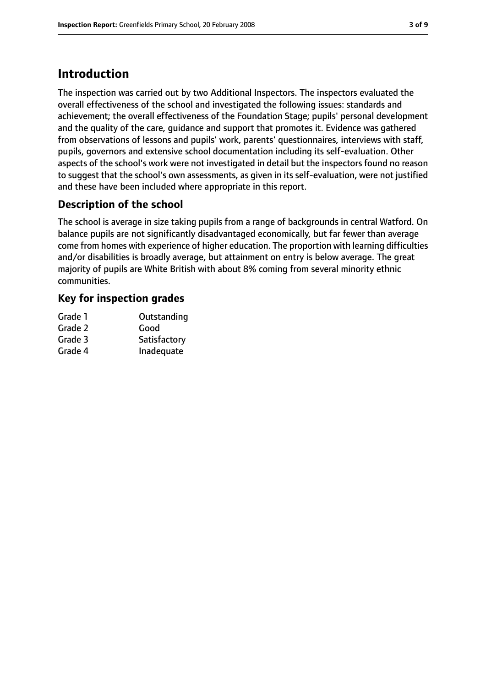## **Introduction**

The inspection was carried out by two Additional Inspectors. The inspectors evaluated the overall effectiveness of the school and investigated the following issues: standards and achievement; the overall effectiveness of the Foundation Stage; pupils' personal development and the quality of the care, guidance and support that promotes it. Evidence was gathered from observations of lessons and pupils' work, parents' questionnaires, interviews with staff, pupils, governors and extensive school documentation including its self-evaluation. Other aspects of the school's work were not investigated in detail but the inspectors found no reason to suggest that the school's own assessments, as given in its self-evaluation, were not justified and these have been included where appropriate in this report.

### **Description of the school**

The school is average in size taking pupils from a range of backgrounds in central Watford. On balance pupils are not significantly disadvantaged economically, but far fewer than average come from homes with experience of higher education. The proportion with learning difficulties and/or disabilities is broadly average, but attainment on entry is below average. The great majority of pupils are White British with about 8% coming from several minority ethnic communities.

#### **Key for inspection grades**

| Outstanding  |
|--------------|
| Good         |
| Satisfactory |
| Inadequate   |
|              |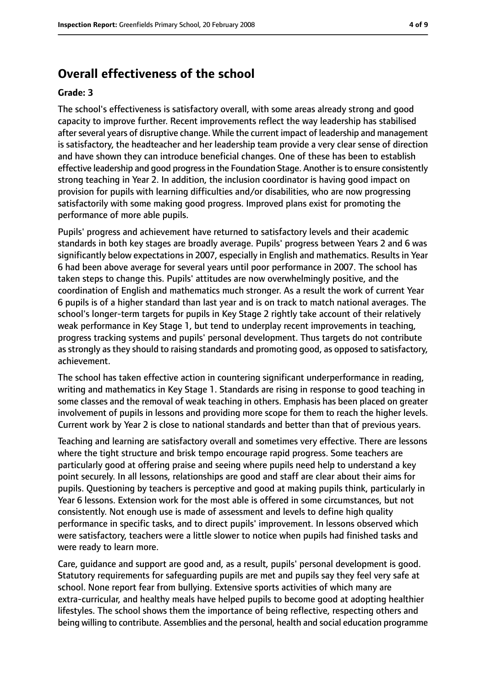#### **Overall effectiveness of the school**

#### **Grade: 3**

The school's effectiveness is satisfactory overall, with some areas already strong and good capacity to improve further. Recent improvements reflect the way leadership has stabilised after several years of disruptive change. While the current impact of leadership and management is satisfactory, the headteacher and her leadership team provide a very clear sense of direction and have shown they can introduce beneficial changes. One of these has been to establish effective leadership and good progress in the Foundation Stage. Another is to ensure consistently strong teaching in Year 2. In addition, the inclusion coordinator is having good impact on provision for pupils with learning difficulties and/or disabilities, who are now progressing satisfactorily with some making good progress. Improved plans exist for promoting the performance of more able pupils.

Pupils' progress and achievement have returned to satisfactory levels and their academic standards in both key stages are broadly average. Pupils' progress between Years 2 and 6 was significantly below expectations in 2007, especially in English and mathematics. Results in Year 6 had been above average for several years until poor performance in 2007. The school has taken steps to change this. Pupils' attitudes are now overwhelmingly positive, and the coordination of English and mathematics much stronger. As a result the work of current Year 6 pupils is of a higher standard than last year and is on track to match national averages. The school's longer-term targets for pupils in Key Stage 2 rightly take account of their relatively weak performance in Key Stage 1, but tend to underplay recent improvements in teaching, progress tracking systems and pupils' personal development. Thus targets do not contribute as strongly as they should to raising standards and promoting good, as opposed to satisfactory, achievement.

The school has taken effective action in countering significant underperformance in reading, writing and mathematics in Key Stage 1. Standards are rising in response to good teaching in some classes and the removal of weak teaching in others. Emphasis has been placed on greater involvement of pupils in lessons and providing more scope for them to reach the higher levels. Current work by Year 2 is close to national standards and better than that of previous years.

Teaching and learning are satisfactory overall and sometimes very effective. There are lessons where the tight structure and brisk tempo encourage rapid progress. Some teachers are particularly good at offering praise and seeing where pupils need help to understand a key point securely. In all lessons, relationships are good and staff are clear about their aims for pupils. Questioning by teachers is perceptive and good at making pupils think, particularly in Year 6 lessons. Extension work for the most able is offered in some circumstances, but not consistently. Not enough use is made of assessment and levels to define high quality performance in specific tasks, and to direct pupils' improvement. In lessons observed which were satisfactory, teachers were a little slower to notice when pupils had finished tasks and were ready to learn more.

Care, guidance and support are good and, as a result, pupils' personal development is good. Statutory requirements for safeguarding pupils are met and pupils say they feel very safe at school. None report fear from bullying. Extensive sports activities of which many are extra-curricular, and healthy meals have helped pupils to become good at adopting healthier lifestyles. The school shows them the importance of being reflective, respecting others and being willing to contribute. Assemblies and the personal, health and social education programme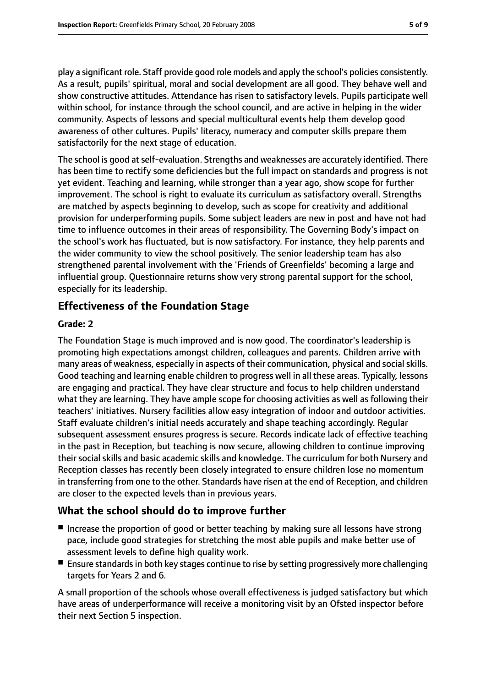play a significant role. Staff provide good role models and apply the school's policies consistently. As a result, pupils' spiritual, moral and social development are all good. They behave well and show constructive attitudes. Attendance has risen to satisfactory levels. Pupils participate well within school, for instance through the school council, and are active in helping in the wider community. Aspects of lessons and special multicultural events help them develop good awareness of other cultures. Pupils' literacy, numeracy and computer skills prepare them satisfactorily for the next stage of education.

The school is good at self-evaluation. Strengths and weaknesses are accurately identified. There has been time to rectify some deficiencies but the full impact on standards and progress is not yet evident. Teaching and learning, while stronger than a year ago, show scope for further improvement. The school is right to evaluate its curriculum as satisfactory overall. Strengths are matched by aspects beginning to develop, such as scope for creativity and additional provision for underperforming pupils. Some subject leaders are new in post and have not had time to influence outcomes in their areas of responsibility. The Governing Body's impact on the school's work has fluctuated, but is now satisfactory. For instance, they help parents and the wider community to view the school positively. The senior leadership team has also strengthened parental involvement with the 'Friends of Greenfields' becoming a large and influential group. Questionnaire returns show very strong parental support for the school, especially for its leadership.

### **Effectiveness of the Foundation Stage**

#### **Grade: 2**

The Foundation Stage is much improved and is now good. The coordinator's leadership is promoting high expectations amongst children, colleagues and parents. Children arrive with many areas of weakness, especially in aspects of their communication, physical and social skills. Good teaching and learning enable children to progress well in all these areas. Typically, lessons are engaging and practical. They have clear structure and focus to help children understand what they are learning. They have ample scope for choosing activities as well as following their teachers' initiatives. Nursery facilities allow easy integration of indoor and outdoor activities. Staff evaluate children's initial needs accurately and shape teaching accordingly. Regular subsequent assessment ensures progress is secure. Records indicate lack of effective teaching in the past in Reception, but teaching is now secure, allowing children to continue improving their social skills and basic academic skills and knowledge. The curriculum for both Nursery and Reception classes has recently been closely integrated to ensure children lose no momentum in transferring from one to the other. Standards have risen at the end of Reception, and children are closer to the expected levels than in previous years.

#### **What the school should do to improve further**

- Increase the proportion of good or better teaching by making sure all lessons have strong pace, include good strategies for stretching the most able pupils and make better use of assessment levels to define high quality work.
- Ensure standards in both key stages continue to rise by setting progressively more challenging targets for Years 2 and 6.

A small proportion of the schools whose overall effectiveness is judged satisfactory but which have areas of underperformance will receive a monitoring visit by an Ofsted inspector before their next Section 5 inspection.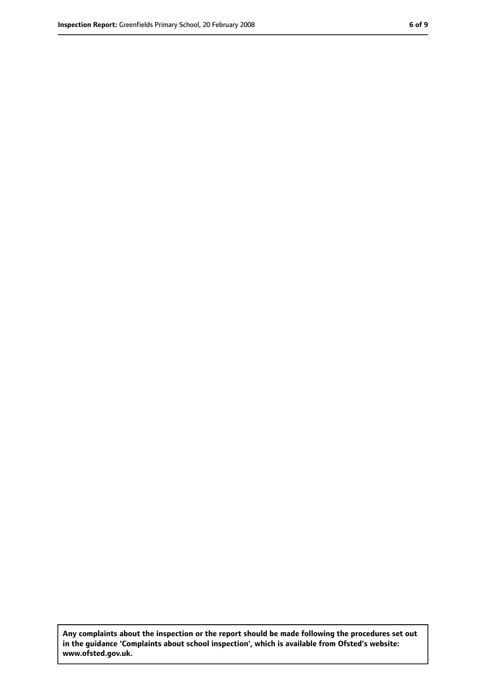**Any complaints about the inspection or the report should be made following the procedures set out in the guidance 'Complaints about school inspection', which is available from Ofsted's website: www.ofsted.gov.uk.**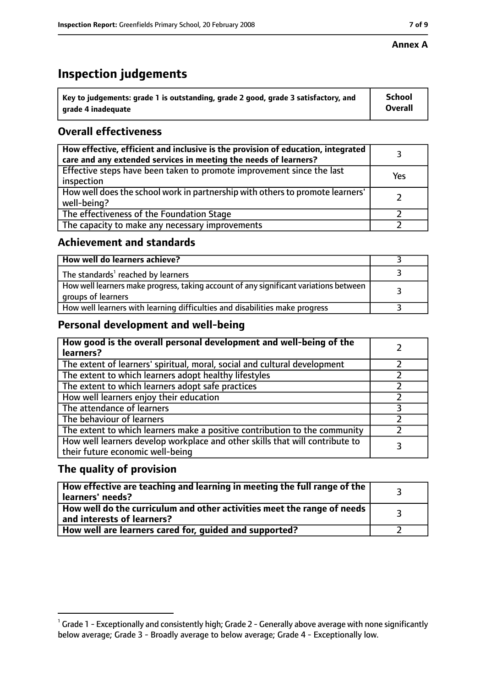#### **Annex A**

# **Inspection judgements**

| $^{\backprime}$ Key to judgements: grade 1 is outstanding, grade 2 good, grade 3 satisfactory, and | <b>School</b>  |
|----------------------------------------------------------------------------------------------------|----------------|
| arade 4 inadequate                                                                                 | <b>Overall</b> |

## **Overall effectiveness**

| How effective, efficient and inclusive is the provision of education, integrated<br>care and any extended services in meeting the needs of learners? |     |
|------------------------------------------------------------------------------------------------------------------------------------------------------|-----|
| Effective steps have been taken to promote improvement since the last<br>inspection                                                                  | Yes |
| How well does the school work in partnership with others to promote learners'<br>well-being?                                                         |     |
| The effectiveness of the Foundation Stage                                                                                                            |     |
| The capacity to make any necessary improvements                                                                                                      |     |

#### **Achievement and standards**

| How well do learners achieve?                                                                               |  |
|-------------------------------------------------------------------------------------------------------------|--|
| The standards <sup>1</sup> reached by learners                                                              |  |
| How well learners make progress, taking account of any significant variations between<br>groups of learners |  |
| How well learners with learning difficulties and disabilities make progress                                 |  |

#### **Personal development and well-being**

| How good is the overall personal development and well-being of the<br>learners?                                  |  |
|------------------------------------------------------------------------------------------------------------------|--|
| The extent of learners' spiritual, moral, social and cultural development                                        |  |
| The extent to which learners adopt healthy lifestyles                                                            |  |
| The extent to which learners adopt safe practices                                                                |  |
| How well learners enjoy their education                                                                          |  |
| The attendance of learners                                                                                       |  |
| The behaviour of learners                                                                                        |  |
| The extent to which learners make a positive contribution to the community                                       |  |
| How well learners develop workplace and other skills that will contribute to<br>their future economic well-being |  |

#### **The quality of provision**

| How effective are teaching and learning in meeting the full range of the<br>learners' needs?          |  |
|-------------------------------------------------------------------------------------------------------|--|
| How well do the curriculum and other activities meet the range of needs<br>and interests of learners? |  |
| How well are learners cared for, guided and supported?                                                |  |

 $^1$  Grade 1 - Exceptionally and consistently high; Grade 2 - Generally above average with none significantly below average; Grade 3 - Broadly average to below average; Grade 4 - Exceptionally low.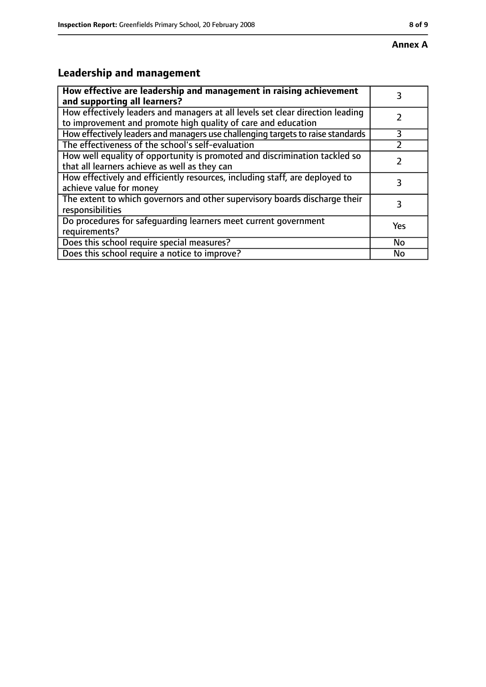# **Leadership and management**

| How effective are leadership and management in raising achievement<br>and supporting all learners?                                              |     |
|-------------------------------------------------------------------------------------------------------------------------------------------------|-----|
| How effectively leaders and managers at all levels set clear direction leading<br>to improvement and promote high quality of care and education |     |
| How effectively leaders and managers use challenging targets to raise standards                                                                 | 3   |
| The effectiveness of the school's self-evaluation                                                                                               |     |
| How well equality of opportunity is promoted and discrimination tackled so<br>that all learners achieve as well as they can                     |     |
| How effectively and efficiently resources, including staff, are deployed to<br>achieve value for money                                          | 3   |
| The extent to which governors and other supervisory boards discharge their<br>responsibilities                                                  | 3   |
| Do procedures for safequarding learners meet current government<br>requirements?                                                                | Yes |
| Does this school require special measures?                                                                                                      | No  |
| Does this school require a notice to improve?                                                                                                   | No  |